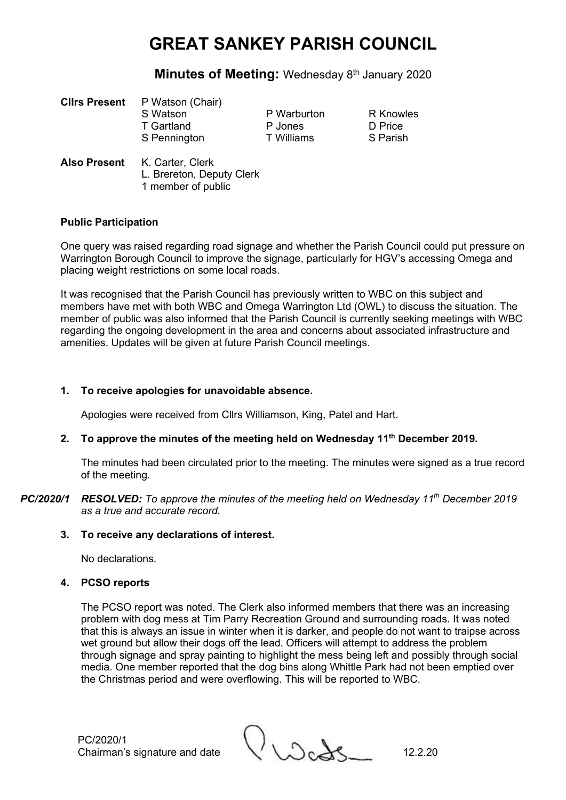### **Minutes of Meeting: Wednesday 8th January 2020**

| <b>Clirs Present</b> | P Watson (Chair)                                              |                        |                             |
|----------------------|---------------------------------------------------------------|------------------------|-----------------------------|
|                      | S Watson<br>T Gartland                                        | P Warburton<br>P Jones | <b>R</b> Knowles<br>D Price |
| <b>Also Present</b>  | S Pennington<br>K. Carter, Clerk<br>L. Brereton, Deputy Clerk | T Williams             | S Parish                    |

#### **Public Participation**

One query was raised regarding road signage and whether the Parish Council could put pressure on Warrington Borough Council to improve the signage, particularly for HGV's accessing Omega and placing weight restrictions on some local roads.

It was recognised that the Parish Council has previously written to WBC on this subject and members have met with both WBC and Omega Warrington Ltd (OWL) to discuss the situation. The member of public was also informed that the Parish Council is currently seeking meetings with WBC regarding the ongoing development in the area and concerns about associated infrastructure and amenities. Updates will be given at future Parish Council meetings.

#### **1. To receive apologies for unavoidable absence.**

1 member of public

Apologies were received from Cllrs Williamson, King, Patel and Hart.

### **2. To approve the minutes of the meeting held on Wednesday 11th December 2019.**

The minutes had been circulated prior to the meeting. The minutes were signed as a true record of the meeting.

*PC/2020/1 RESOLVED: To approve the minutes of the meeting held on Wednesday 11 th December 2019 as a true and accurate record.*

#### **3. To receive any declarations of interest.**

No declarations.

#### **4. PCSO reports**

The PCSO report was noted. The Clerk also informed members that there was an increasing problem with dog mess at Tim Parry Recreation Ground and surrounding roads. It was noted that this is always an issue in winter when it is darker, and people do not want to traipse across wet ground but allow their dogs off the lead. Officers will attempt to address the problem through signage and spray painting to highlight the mess being left and possibly through social media. One member reported that the dog bins along Whittle Park had not been emptied over the Christmas period and were overflowing. This will be reported to WBC.

PC/2020/1

PC/2020/1<br>Chairman's signature and date 12.2.20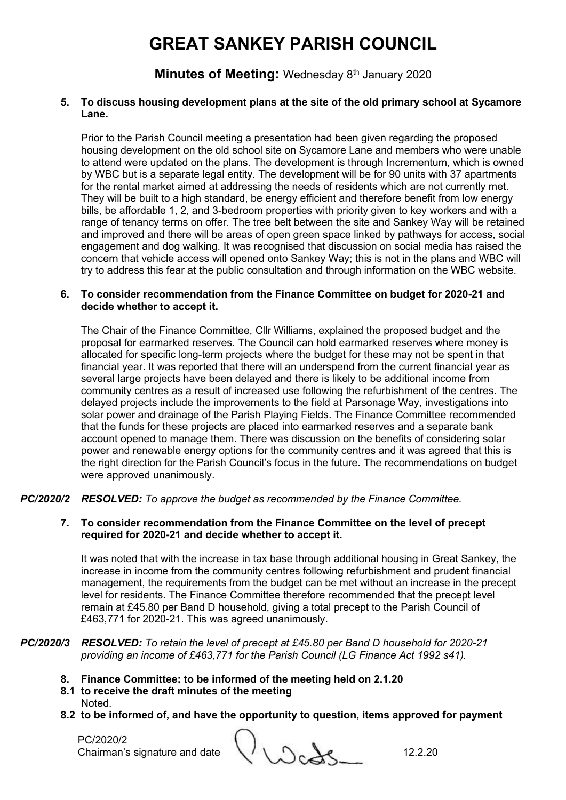**Minutes of Meeting: Wednesday 8th January 2020** 

#### **5. To discuss housing development plans at the site of the old primary school at Sycamore Lane.**

Prior to the Parish Council meeting a presentation had been given regarding the proposed housing development on the old school site on Sycamore Lane and members who were unable to attend were updated on the plans. The development is through Incrementum, which is owned by WBC but is a separate legal entity. The development will be for 90 units with 37 apartments for the rental market aimed at addressing the needs of residents which are not currently met. They will be built to a high standard, be energy efficient and therefore benefit from low energy bills, be affordable 1, 2, and 3-bedroom properties with priority given to key workers and with a range of tenancy terms on offer. The tree belt between the site and Sankey Way will be retained and improved and there will be areas of open green space linked by pathways for access, social engagement and dog walking. It was recognised that discussion on social media has raised the concern that vehicle access will opened onto Sankey Way; this is not in the plans and WBC will try to address this fear at the public consultation and through information on the WBC website.

#### **6. To consider recommendation from the Finance Committee on budget for 2020-21 and decide whether to accept it.**

The Chair of the Finance Committee, Cllr Williams, explained the proposed budget and the proposal for earmarked reserves. The Council can hold earmarked reserves where money is allocated for specific long-term projects where the budget for these may not be spent in that financial year. It was reported that there will an underspend from the current financial year as several large projects have been delayed and there is likely to be additional income from community centres as a result of increased use following the refurbishment of the centres. The delayed projects include the improvements to the field at Parsonage Way, investigations into solar power and drainage of the Parish Playing Fields. The Finance Committee recommended that the funds for these projects are placed into earmarked reserves and a separate bank account opened to manage them. There was discussion on the benefits of considering solar power and renewable energy options for the community centres and it was agreed that this is the right direction for the Parish Council's focus in the future. The recommendations on budget were approved unanimously.

*PC/2020/2 RESOLVED: To approve the budget as recommended by the Finance Committee.*

#### **7. To consider recommendation from the Finance Committee on the level of precept required for 2020-21 and decide whether to accept it.**

It was noted that with the increase in tax base through additional housing in Great Sankey, the increase in income from the community centres following refurbishment and prudent financial management, the requirements from the budget can be met without an increase in the precept level for residents. The Finance Committee therefore recommended that the precept level remain at £45.80 per Band D household, giving a total precept to the Parish Council of £463,771 for 2020-21. This was agreed unanimously.

#### *PC/2020/3 RESOLVED: To retain the level of precept at £45.80 per Band D household for 2020-21 providing an income of £463,771 for the Parish Council (LG Finance Act 1992 s41).*

- **8. Finance Committee: to be informed of the meeting held on 2.1.20**
- **8.1 to receive the draft minutes of the meeting** Noted.
- **8.2 to be informed of, and have the opportunity to question, items approved for payment**

PC/2020/2

PC/2020/2 <br>Chairman's signature and date  $\bigcup_{\lambda} \bigcup_{\lambda} \bigcup_{\lambda} \bigcup_{\lambda}$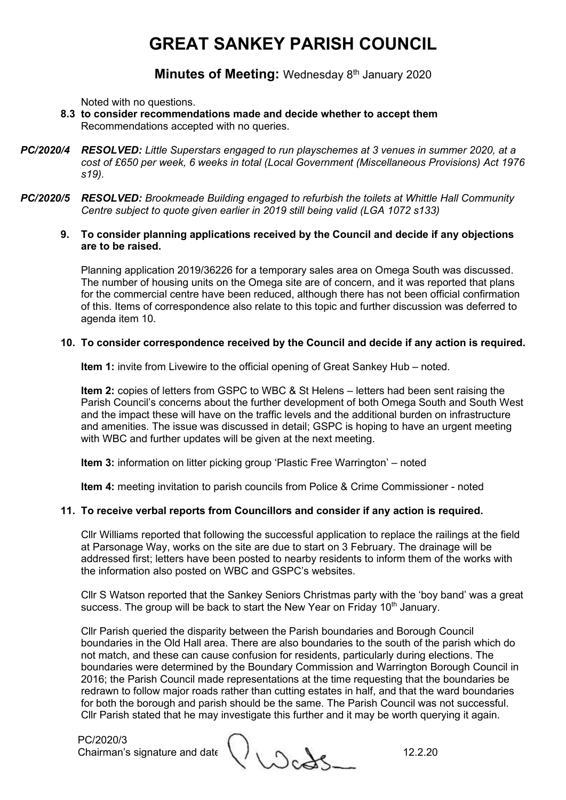**Minutes of Meeting: Wednesday 8th January 2020** 

Noted with no questions.

- **8.3 to consider recommendations made and decide whether to accept them** Recommendations accepted with no queries.
- *PC/2020/4 RESOLVED: Little Superstars engaged to run playschemes at 3 venues in summer 2020, at a cost of £650 per week, 6 weeks in total (Local Government (Miscellaneous Provisions) Act 1976 s19).*
- *PC/2020/5 RESOLVED: Brookmeade Building engaged to refurbish the toilets at Whittle Hall Community Centre subject to quote given earlier in 2019 still being valid (LGA 1072 s133)*
	- **9. To consider planning applications received by the Council and decide if any objections are to be raised.**

Planning application 2019/36226 for a temporary sales area on Omega South was discussed. The number of housing units on the Omega site are of concern, and it was reported that plans for the commercial centre have been reduced, although there has not been official confirmation of this. Items of correspondence also relate to this topic and further discussion was deferred to agenda item 10.

#### **10. To consider correspondence received by the Council and decide if any action is required.**

**Item 1:** invite from Livewire to the official opening of Great Sankey Hub – noted.

**Item 2:** copies of letters from GSPC to WBC & St Helens – letters had been sent raising the Parish Council's concerns about the further development of both Omega South and South West and the impact these will have on the traffic levels and the additional burden on infrastructure and amenities. The issue was discussed in detail; GSPC is hoping to have an urgent meeting with WBC and further updates will be given at the next meeting.

**Item 3:** information on litter picking group 'Plastic Free Warrington' – noted

**Item 4:** meeting invitation to parish councils from Police & Crime Commissioner - noted

#### **11. To receive verbal reports from Councillors and consider if any action is required.**

Cllr Williams reported that following the successful application to replace the railings at the field at Parsonage Way, works on the site are due to start on 3 February. The drainage will be addressed first; letters have been posted to nearby residents to inform them of the works with the information also posted on WBC and GSPC's websites.

Cllr S Watson reported that the Sankey Seniors Christmas party with the 'boy band' was a great success. The group will be back to start the New Year on Friday 10<sup>th</sup> January.

Cllr Parish queried the disparity between the Parish boundaries and Borough Council boundaries in the Old Hall area. There are also boundaries to the south of the parish which do not match, and these can cause confusion for residents, particularly during elections. The boundaries were determined by the Boundary Commission and Warrington Borough Council in 2016; the Parish Council made representations at the time requesting that the boundaries be redrawn to follow major roads rather than cutting estates in half, and that the ward boundaries for both the borough and parish should be the same. The Parish Council was not successful. Cllr Parish stated that he may investigate this further and it may be worth querying it again.

PC/2020/3

Chairman's signature and date 12.2.20